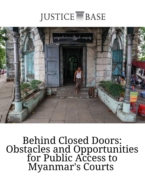# **JUSTICE ME BASE**



Behind Closed Doors: Obstacles and Opportunities for Public Access to Myanmar's Courts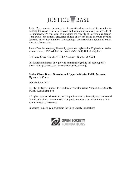# **JUSTICE MBASE**

Justice Base promotes the rule of law in transitional and post-conflict societies by building the capacity of local lawyers and supporting nationally owned rule of law initiatives. We endeavour to strengthen the capacity of lawyers to engage in – and guide – the national discussion on rule of law needs and priorities, develop domestic rule of law initiatives, and lead legal and institutional reform efforts in emerging democracies.

Justice Base is a company limited by guarantee registered in England and Wales at Acre House, 11/15 William Rd, London NW1 3ER, United Kingdom.

Registered Charity Number 1153878/Company Number 7978723

For further information or to provide comments regarding this report, please email: info@justicebase.org or visit www.justicebase.org.

#### **Behind Closed Doors: Obstacles and Opportunities for Public Access to Myanmar's Courts**

Published June 2017

COVER PHOTO: Entrance to Kyauktada Township Court, Yangon. May 25, 2017 © 2017 Aung Naing Soe

All rights reserved. The contents of this publication may be freely used and copied for educational and non-commercial purposes provided that Justice Base is fully acknowledged as the source.

Supported [in part] by a grant from the Open Society Foundations

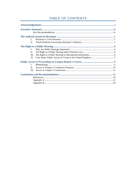# TABLE OF CONTENTS

×

| $\mathbf{I}$ . |  |
|----------------|--|
| $\Pi$ .        |  |
|                |  |
| $\mathbf{L}$   |  |
| Н.             |  |
| III.           |  |
| IV.            |  |
|                |  |
| $\mathbf{L}$   |  |
| II.            |  |
| Ш.             |  |
|                |  |
|                |  |
|                |  |
|                |  |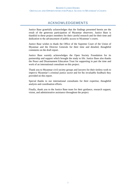# ACKNOWLEDGEMENTS

Justice Base gratefully acknowledges that the findings presented herein are the result of the generous participation of Myanmar observers. Justice Base is thankful to these project members for their careful research and for their time and dedication to the advancement of public access to Myanmar's courts.

Justice Base wishes to thank the Office of the Supreme Court of the Union of Myanmar and the Director Generals for their time and detailed, thoughtful comments on the draft report.

Justice Base warmly acknowledges the Open Society Foundation for its partnership and support which brought the study to life. Justice Base also thanks the Peace and Disarmament Education Trust for supporting in part the time and work of an international consultant on this project.

Thank you to Myanmar civil society groups and lawyers for their tireless work to improve Myanmar's criminal justice sector and for the invaluable feedback they provided on this report.

Special thanks to our international consultants for their expertise, thoughtful analysis and coordination efforts.

Finally, thank you to the Justice Base team for their guidance, research support, vision, and administrative assistance throughout the project.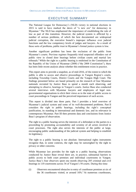# EXECUTIVE SUMMARY

The National League for Democracy's (NLD) victory in national elections in 2015 is said to have marked the dawn of "a new era" for democracy in Myanmar.<sup>1</sup> The NLD has emphasized the importance of establishing the rule of law as part of this transition. However, the judicial system is afflicted by a number of serious problems, of which the best documented are widespread judicial corruption, the executive branch's improper influence over judicial functions and the low competency levels of judges and lawyers. As a result of these sorts of problems, public trust in Myanmar's formal justice system is low.

Another significant problem has been the exclusion of the public from Myanmar's courts. Previous regimes frequently tried suspected offenders out of public view in closed door hearings before civilian courts and martial law tribunals.<sup>2</sup> While the right to a public hearing is enshrined in the Constitution of the Republic of the Union of Myanmar (2008) ("the 2008 Constitution"), there has been little recent analysis about whether this entitlement exists in practice.

This report aims to provide a snapshot, as of mid-2016, of the extent to which the public is able to access and observe proceedings in Yangon Region's courts, including Township Courts, District Courts and the Yangon High Court. The findings presented below are based primarily on the research of four Myanmar nationals recruited by Justice Base to spend a month each observing, and attempting to observe, hearings in Yangon's courts. Justice Base also conducted several interviews with Myanmar lawyers and employees of legal nongovernmental organisations to elicit their views as to the state of public access to court proceedings in Yangon and the perceived importance of such access.

This report is divided into three parts. Part I provides a brief overview of Myanmar's judicial system and some of its well-documented problems. Part II considers the right to public hearings, including the right's conceptual justification, its standing in international and domestic law, and its relevance in contemporary Myanmar. Part III then presents data and conclusions from Justice Base's program of observation.

The right to a public hearing serves the interests of a defendant or the parties to a proceeding by promoting accountability and scrutiny of all actors involved in court processes. The right also serves the interests of the public at large, encouraging public understanding of the judicial system and helping to establish its legitimacy.

The right to a public hearing is not absolute. International rights instruments recognise that, in some contexts, the right may be outweighed by the right to privacy or other concerns.

While Myanmar law provides for the right to a public hearing, observations conducted by Justice Base reveal there are, in practice, substantial barriers to public access to both court premises and individual courtrooms in Yangon. Justice Base's four observers spent one month observing 205 criminal and civil hearings in 119 courtrooms across 36 of Yangon's 50 courts. During this time:

(i) Observers encountered obstacles to entry of courthouse premises at six of the 36 courthouses visited, or around 16%.<sup>3</sup> At numerous courthouses,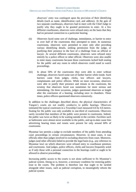observers' entry was contingent upon the provision of their identifying details (such as name, identification card, and address). At the gate of two separate courthouses, observers had to meet with the Chief Judge to justify why they ought to be granted permission to enter. At a few different courthouses, observers were refused entry on the basis that they had no personal connection to a particular hearing.

- (ii) Observers faced some sort of challenge, intimidation, or barrier to entry in over half of the courtrooms they attempted to enter. In numerous courtrooms, observers were permitted to enter only after providing various identifying details, seeking permission from the judge, or justifying their presence in the face of a challenge from an official or lawyer. At several different courtrooms, observers were refused entry entirely by a police officer or other official. Observers were also unable to enter many courtrooms because those courtrooms lacked both seating for the public and any room in which observers could stand to watch proceedings.
- (iii) In about 50% of the courtrooms they were able to enter without challenge, observers faced some sort of further barrier while inside. Such barriers came from judges, clerks, law officers and lawyers, complainants and police officers. While on most occasions, observers were able to justify their presence and remain in the courtroom, the scrutiny that observers faced was sometimes far more serious and intimidating. On three occasions, judges questioned observers at length after the conclusion of a hearing, including once in chambers. Three times, police officers questioned observers extensively.

In addition to the challenges described above, the physical characteristics of Yangon's courts are not readily conducive to public hearings. Observers estimated the typical courtroom in a Township Court measured 4.6 by 4.6 metres. Seating for the public was only available in one-third of courtrooms. Observers rarely recorded that members of the public were present in courtrooms. Indeed, the public was twice as likely to be waiting outside in the corridor. Facilities such as bathrooms were almost never available to the public, and up-to-date cause lists advertising hearing times and rooms were present for only around 60% of courtrooms.

Myanmar law permits a judge to exclude members of the public from attending court proceedings in certain circumstances. However, in most cases, it was officials other than judges involved in excluding observers from court. Moreover, judges (and other officials) failed to provide the legal basis (e.g., any reference to Myanmar law) on which observers were refused entry to courthouse premises and courtrooms. And judges, police officers, clerks and lawyers frequently acted as if only those with a personal connection to the hearings could or ought to be allowed to observe proceedings.

Increasing public access to the courts is not alone sufficient to fix Myanmar's judicial system. Doing so is, however, a necessary condition for restoring public trust in the courts. The problem is therefore one that ought to be tackled alongside other issues, such as judicial corruption, to meaningfully reform the judicial system.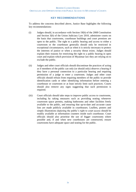#### **KEY RECOMMENDATIONS**

To address the concerns described above, Justice Base highlights the following key recommendations:

- (i) Judges should, in accordance with Section 19(b) of the 2008 Constitution and Section 3(b) of the Union Judiciary Law 2010, administer courts on the basis that courtrooms, courthouse buildings and court premises are open to the public. The right to a public hearing and access to either a courtroom or the courthouse generally should only be restricted in exceptional circumstances, such as when it is strictly necessary to protect the interests of justice or when a security threat exists. Judges should explain their reasons for restricting the right to a public hearing in open court and explain which provision of Myanmar law they are relying on to exclude the public.
- (ii) Judges and other court officials should discontinue the practices of acting as if members of the public can only (or should only) observe a hearing if they have a personal connection to a particular hearing and requiring permission of a judge to enter a courtroom. Judges and other court officials should refrain from requiring members of the public to provide identification cards or other identifying information before entering a courthouse or courtroom or at least strictly limit such practices. Courts should also remove any signs suggesting that such permission is required.
- (iii) Court officials should take steps to improve public access to courtrooms, including by taking measures such as providing seating whenever courtroom space permits, making bathrooms and other facilities freely available to the public, and ensuring that up-to-date and accurate cause lists are made publicly available in courthouses. Leaflets, posters and simple illustrations depicting the public's right to court access should be readily available at information counters inside each courthouse. Court officials should also prioritise the use of bigger courtrooms where possible and, if and when new courthouses are constructed, ensure courtrooms have adequate space and seating for the public.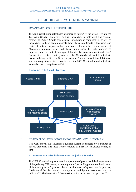# THE JUDICIAL SYSTEM IN MYANMAR

#### I. MYANMAR'S COURT STRUCTURE

The 2008 Constitution establishes a number of courts.<sup>4</sup> At the lowest level are the Township Courts, which have original jurisdiction in both civil and criminal cases.<sup>5</sup> The District Courts have original jurisdiction in some matters, as well as jurisdiction to hear certain appeals from Township Courts. <sup>6</sup> Township and District Courts are supervised by High Courts, of which there is one in each of Myanmar's fourteen Regions and States.<sup>7</sup> Sitting above the High Courts is the Supreme Court, a court of final appeal that also has some original jurisdiction.<sup>8</sup> Outside the civilian court system are the Courts-Martial, which adjudicate matters relating to Defence Services personnel,<sup>9</sup> and a Constitutional Tribunal, which, among other matters, may interpret the 2008 Constitution and adjudicate as to other laws' compliance with it.<sup>10</sup>



#### **Diagram 1: The Court Structure<sup>11</sup>**

#### II. NOTED PROBLEMS CONCERNING MYANMAR'S JUDICIARY

It is well known that Myanmar's judicial system is afflicted by a number of serious problems. The most widely reported of these are considered briefly in turn.

#### **a. Improper executive influence over the judicial function**

The 2008 Constitution guarantees the separation of powers and the independence of the judiciary.<sup>12</sup> However, according to the Special Rapporteur on the situation of human rights in Myanmar, these constitutional safeguards are, in practice, "undermined by the control currently exercised by the executive over the judiciary."<sup>13</sup> The International Commission of Jurists reported last year that:<sup>14</sup>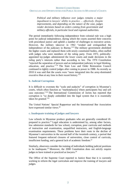*Political and military influence over judges remains a major impediment to lawyers' ability to practice … effectively. Despite improvements, and depending on the nature of the case, judges render decisions based on orders coming from government and military officials, in particular local and regional authorities.* 

The period immediately following independence from colonial rule was a high point for judicial independence, during which the courts asserted their concerns with procedural justice and upheld a number of challenges to executive action. However, the military takeover in 1962 "eroded and extinguished the independence of the judiciary in Burma."<sup>15</sup> The military government abolished the higher courts and replaced them with newly constituted bodies, often staffed with judges who were members of the ruling party. From 1972, politicallyappointed lay-judges administered the lower courts and made decisions in the ruling party's interests rather than according to law. The 1974 Constitution "rejected the separation of powers and an independent judiciary in legal thinking, education, and practice." <sup>16</sup> The State Law and Order Restoration Council continued to tightly control judges after coming to power in 1988. As recently as 2010 it was said that the courts were "more integrated into the army-dominated executive than at any time in their recent history."<sup>17</sup>

#### **b. Judicial Corruption**

It is difficult to overstate the "scale and audacity" of corruption in Myanmar's courts, which often function as "marketplace[s] where participants buy and sell case outcomes." <sup>18</sup> The International Commission of Jurists has reported that corruption is "so deeply embedded into the legal system that it is essentially taken for granted."<sup>19</sup>

The United Nations' Special Rapporteur and the International Bar Association have expressed similar views.<sup>20</sup>

#### **c. Inadequate training of judges and lawyers**

Law schools in Myanmar produce graduates who are generally considered illprepared to practice.<sup>21</sup> Legal education is undermined by, among other factors, low admission standards for law school, corruption, poor curricula and methods of instruction and examination, unqualified instructors, and English-language examination requirements. These problems have their roots in the decline of Myanmar's universities in the second half of the twentieth century, a period that featured frequent enforced closures of universities, close control of curricula, insufficient funding, and a general lack of academic freedom.<sup>22</sup>

Similarly, observers consider the training of individuals holding judicial positions to be inadequate.<sup>23</sup> Moreover, the  $2008$  Constitution does not strictly require judges to have trained or practiced as lawyers.<sup>24</sup>

The Office of the Supreme Court reported to Justice Base that it is currently working to reform the legal curriculum and improve the training of lawyers and judges.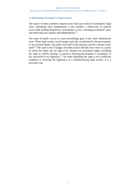#### **d. Reforming Myanmar's legal system**

The nature of these problems requires more than just reform of substantive legal rules. Something more fundamental is also needed: a rediscovery of judicial actors both holding themselves accountable to laws, including procedural rules, and enforcing laws equally and independently.<sup>25</sup>

The issue of public access to court proceedings goes to the same fundamental issue. When legal results can be bought and sold, are dictated by the government, or are reached ineptly, the public lose faith in the judiciary and the concept of law itself.<sup>26</sup> The same is true if judges and other justice officials treat courts as a place in which the public has no right to be. Respect for procedural rights, including the right to a public hearing, is crucial to fostering the populace's acceptance of law and belief in its legitimacy.<sup>27</sup> So while upholding the right is not a sufficient condition to restoring the legitimacy of a malfunctioning legal system, it is a necessary one.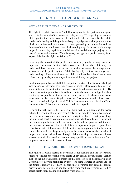# THE RIGHT TO A PUBLIC HEARING

#### I. WHY ARE PUBLIC HEARINGS IMPORTANT?

The right to a public hearing is "both [] a safeguard for the parties to a dispute, and . . . in the interest of the democratic polity at large."<sup>28</sup> Regarding the interests of the parties (or, in the context of a criminal trial, the accused), the public conduct of a hearing and the public delivery of a judgment enable public scrutiny of all actors involved in the court process, promoting accountability and the fairness of the trial and its outcome. Such scrutiny may, for instance, discourage judges from reaching capricious or unfair decisions and discourage perjury on the part of parties and witnesses.<sup>29</sup> In this sense, the right to a public hearing is an aspect of the broader right to a fair trial.<sup>30</sup>

Regarding the interest of the public more generally, public hearings serve an important educational function. When courts are closed, the public may not understand how the courts work and is unable to assess the strengths and weaknesses of the justice system. Public hearings, by contrast, encourage such understanding.<sup>31</sup> They also educate the public on substantive rules of law, as was pointed out by one Myanmar lawyer interviewed during this project.

In addition, public hearings fulfill the important function of legitimating the legal system and, by extension, government more generally. Open courts help develop and maintain public trust in the court system and the administration of justice. By contrast, when the public is excluded from courts, the courts are stripped of their legitimacy. A popular sentiment in the context of recent debates about secret terror trials in the United Kingdom was that "justice conducted behind closed doors … is no kind of justice at all."<sup>32</sup> It is fundamental to the rule of law<sup>33</sup> and  $demoracy itself<sup>34</sup> that trials are fair and conducted in public.$ 

Because the right serves the interests of both parties to a case and the wider public, this report will refer interchangeably to the right to a public hearing and the right to observe court proceedings. The right to observe court proceedings facilitates independent trial monitoring programs, which can themselves support the right to a public trial, build confidence in the judicial process, and, through the presence of monitors, lead the judiciary to implement improved procedures reflective of fair trial standards. Trial monitoring is important in the Myanmar context because it can help identify areas for reform, enhance the capacity of judges and other stakeholders through trial monitoring reports that address weaknesses and offer solutions, and encourage public access to the courts. Such programs cannot occur if courts are closed.

#### II. THE RIGHT TO A PUBLIC HEARING UNDER DOMESTIC LAW

The right to a public hearing in Myanmar is not absolute and the law permits judges to exclude the public from courts under certain circumstances. Section 19(b) of the 2008 Constitution prescribes that justice is to be dispensed "in open Court unless otherwise prohibited by law." The same is stated in Section 3(b) of the Union Judiciary Law 2010. In particular, Myanmar law contains general discretionary powers to exclude the public from court proceedings as well as specific restrictions dealing with certain types of cases.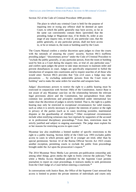Section 352 of the Code of Criminal Procedure 1898 provides:

The place in which any criminal Court is held for the purpose of inquiring into or trying any offence shall be deemed an open Court, to which the public generally may have access, so far as the same can conveniently contain them: [provided] that the presiding Judge or Magistrate may, if he thinks fit, order at any stage of any inquiry into, or trial of, any particular case, that the public generally, or any particular person, shall not have access to, or be or remain in, the room or building used by the Court.

The Courts Manual confers a similar discretion upon judges to close the courts with the rationale of ensuring the courts' security. Section 48(1) reaffirms presiding judges' "discretionary power" under the Code of Criminal Procedure to "exclude the public generally, or any particular person, from the room or building used by him as a Court during the enquiry into, or trial of, any particular case," and confers upon judges the power to take steps necessary to maintain order and prevent disturbances in court. Judges are specifically empowered to forbid the introduction of weapons into courtrooms and to require searches of all those who would enter. Section 48(2) provides that "[i]n civil cases a Judge may take precautions … by excluding undesirable persons from the Court room or building" and to make the same orders for searches and weapons bans.

Judges' discretionary powers to restrict the right to a public hearing must be exercised in conjunction with Section 19(b) of the Constitution. Justice Base is not aware of any Myanmar case-law on the relationship between the relevant legal provisions above and the Constitution, but jurisprudence from other common law jurisdictions and principles established under international law make clear the discretion of judges is strictly limited. That is, the right to a public hearing may only be restricted in exceptional circumstances for valid reasons, such as when it is strictly necessary to protect the interests of justice or the right to privacy of the parties (such as in cases involving juveniles, matrimonial disputes or the guardianship of children).<sup>35</sup> Other exceptional circumstances include when testifying witnesses may face reprisals by supporters of the accused or in professional disciplinary proceedings. <sup>36</sup> Even then, restrictions must be strictly justified and subject to ongoing assessment. The judge must explain his or her reasons for restricting access in open court.<sup>37</sup>

Myanmar law also establishes a limited number of specific restrictions to the right to a public hearing. Section 42(b) of the Child Law 1993 excludes public access to cases in which persons aged 16 or younger are tried, other than by special permission. Section 14 of the Burma Official Secrets Act 1923 creates another exception, permitting courts to exclude the public from proceedings brought under the Act upon the prosecution's request.<sup>38</sup>

The 2014 Myanmar News Media Law prevents pre-publication censorship and, among other things, gives media the right to freely criticise the judiciary.<sup>39</sup> But while a Media Access Handbook published by the Supreme Court permits journalists to report on court proceedings, it instructs media to seek permission from the Chief Judge of a Court before entering a courtroom.<sup>40</sup>

In conversations with Justice Base, the Office of the Supreme Court stressed that access is limited to protect the private interests of individuals and courts only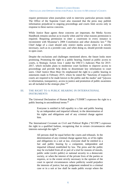require permission when journalists wish to interview particular persons inside. The Office of the Supreme Court also reasoned that the press may publish information prejudicial to ongoing proceedings and courts limit access only in response to these narrow concerns.

While Justice Base agrees these concerns are important, the Media Access Handbook remains unclear as to exactly when and for what reasons permission is required. Requiring permission to enter a courtroom in every instance is inconsistent with Myanmar's 2008 Constitution and other domestic law.<sup>41</sup> The Chief Judge of a court should only restrict media access when it is strictly necessary, such as in a juvenile case, and when doing so, should provide reasons in open court.

Despite the exclusions and challenges mentioned above, the future looks more promising. Promoting the right to a public hearing, framed as public access to courts, is Strategic Action Area 1 under the OSCU's Judiciary Plan for 2015- 2017, which includes plans to modernise court facilities to improve access to proceedings and provide help desks to disseminate key information to court users. Chief Justice Htun Htun Oo emphasized the right to a public hearing in statements made in February 2015, where he stated the "functions of respective courts are required to be made known to the public and the media" and "[a]ccess to information, transparency, access to justice and promotion of public awareness are all included in the strategic plan."<sup>42</sup>

#### III. THE RIGHT TO A PUBLIC HEARING IN INTERNATIONAL INSTRUMENTS

The Universal Declaration of Human Rights ("UDHR") expresses the right to a public hearing in unconditional terms:<sup>43</sup>

Everyone is entitled in full equality to a fair and public hearing by an independent and impartial tribunal, in the determination of his rights and obligations and of any criminal charge against him.

The International Covenant on Civil and Political Rights ("ICCPR") expresses the right in a qualified fashion, recognising that in certain circumstances other interests outweigh the right: $44$ 

All persons shall be equal before the courts and tribunals. In the determination of any criminal charge against him, or of his rights and obligations in a suit at law, everyone shall be entitled to a fair and public hearing by a competent, independent and impartial tribunal established by law. The press and the public may be excluded from all or part of a trial for reasons of morals, public order (*ordre* public) or national security in a democratic society, or when the interest of the private lives of the parties so requires, or to the extent strictly necessary in the opinion of the court in special circumstances where publicity would prejudice the interests of justice; but any judgement rendered in a criminal case or in a suit at law shall be made public except where the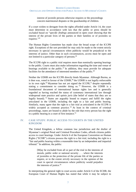interest of juvenile persons otherwise requires or the proceedings concern matrimonial disputes or the guardianship of children.

If a court wishes to derogate from the rights afforded under Article 14, the court must determine in accordance with law that the public or press should be excluded based on "*specific findings* announced in open court showing that the interest of the private lives of the parties or their families or of juveniles so requires."<sup>45</sup>

The Human Rights Committee has made clear the broad scope of the ICCPR right. Exceptions of the sort provided for may only be made to the extent strictly necessary in special circumstances when publicity would be prejudicial to the interests of justice. Other than in such circumstances, access must be open and not limited to a particular category of persons.<sup>46</sup>

The ICCPR right to a public trial requires more than nominally opening hearings to the public. Courts must also make information regarding the time and venue of hearings available to the public.<sup>47</sup> In addition, they must provide for adequate facilities for the attendance of interested members of the public.<sup>48</sup>

Neither the UDHR nor the ICCPR directly binds Myanmar. Although Burma, as it then was, voted in favour of the UDHR, $49$  the UDHR is not legally enforceable in its own right.<sup>50</sup> Myanmar has not yet signed the ICCPR,<sup>51</sup> despite repeatedly stating a commitment to consider doing so.<sup>52</sup> However, the UDHR is a foundational document of international human rights law and is generally regarded as having reached the status of customary international law through widespread state practice and *opinio juris* (the belief of states that they are so legally bound). <sup>53</sup> States are arguably bound to respect and fulfill the rights articulated in the UDHR, including the right to a fair and public hearing. Similarly, many agree that the right to a fair trial as articulated in the ICCPR is widely accepted as common practice.<sup>54</sup> At least in the context of criminal proceedings, states are bound to abide by the rule that every person has the right to a public hearing in a court of first instance.<sup>55</sup>

#### IV. CASE STUDY: PUBLIC ACCESS TO COURTS IN THE UNITED KINGDOM

The United Kingdom, a fellow common law jurisdiction and the drafter of Myanmar's original Penal and Criminal Procedure Codes, affords citizens public access to court hearings. Under Article 6 of the European Convention on Human Rights ("ECHR") citizens possess the right to a fair trial, including the right to a "fair and public hearing within a reasonable time by an independent and impartial tribunal." In addition, the public:

[M]ay be excluded from all or part of the trial in the interests of morals, public order or national security . . . where the interests of juveniles or the protection of the private life of the parties so require, or to the extent *strictly necessary* in the opinion of the court in special circumstances where publicity would prejudice the interests of justice.<sup>56</sup>

In interpreting the general right to court access under Article 6 of the ECHR, the European Court of Human Rights has stated that while it may be subject to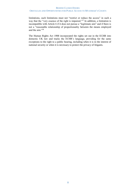limitations, such limitations must not "restrict or reduce the access" in such a way that the "very essence of the right is impaired."<sup>57</sup> In addition, a limitation is incompatible with Article 6 if it does not pursue a "legitimate aim" and if there is not a "reasonable relationship of proportionality between the means employed and the aim."<sup>58</sup>

The Human Rights Act 1998 incorporated the rights set out in the ECHR into domestic UK law and tracks the ECHR's language, providing for the same exceptions to the right to a public hearing, including when it is in the interest of national security or when it is necessary to protect the privacy of litigants.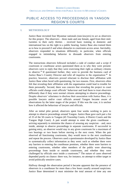# PUBLIC ACCESS TO PROCEEDINGS IN YANGON REGION'S COURTS

#### I. METHODOLOGY

Justice Base recruited four Myanmar nationals (non-lawyers) to act as observers for this project. The observers – three male and one female, aged from their midtwenties to their early thirties – received basic training in domestic and international law on the right to a public hearing. Justice Base also trained them as to how to proceed if and when obstacles to courtroom access arose. Inevitably, observers responded to situations differently; in particular, when officials engaged in intimidating behavior to dissuade observers from entering courtrooms.

The instructions observers followed included a code of conduct and a script if courtroom or courthouse actors questioned them as to why they were present: observers were to reply that they were exercising their right as ordinary citizens to observe.<sup>59</sup> If questioned further, they were to provide the business card of Justice Base's Country Director and refer all inquiries to the organisation.<sup>60</sup> In practice, however, observers proved reluctant to disclose their affiliation with Justice Base when faced with questioning, for two reasons. First, observers often felt that revealing their affiliation with the organisation could lead to trouble for them personally. Second, there was concern that revealing the project to court officials could change court officials' behaviour and lead them to treat observers differently than if they were normal citizens attempting to observe proceedings. Despite observers' reluctance to disclose their association with Justice Base, it is possible lawyers and/or court officials around Yangon became aware of observations by the latter stages of the project. If this was the case, it is unclear how it affected the behaviour of lawyers and officials.

After an initial pilot period, observers spent four weeks working in pairs to attempt to observe proceedings around Yangon. Justice Base gave each pair a list of 25 of the 50 courts in Yangon (45 Township Courts, 4 District Courts and the Yangon High Court). A pair would attempt to enter the given courthouse – arriving separately to minimise the chance of arousing any suspicion – and, once inside, attempt to observe proceedings in separate courtrooms. If successful in gaining entry, an observer would stay in any given courtroom for a maximum of two hearings or two hours before moving to the next room. When the pair observed all functioning courtrooms, they would move to the next courthouse and repeat the process. Observers used a questionnaire developed by Justice Base to systematically collect information as they went: such as whether there were any barriers to entering the courthouse premises, whether there were barriers to entering courtrooms, whether other members of the public were observing proceedings from inside or outside courtrooms, and whether they were challenged by officials once inside a courtroom.<sup>61</sup> The nature of cases observed depended purely on chance: there was, for instance, no attempt to either target or avoid politically sensitive cases.

Halfway through the observation period it became apparent that the presence of observers in a courthouse for more than a few hours usually aroused suspicions. Justice Base determined it must minimise the total amount of time any one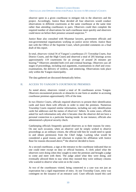observer spent in a given courthouse to mitigate risk to the observers and the project. Accordingly, Justice Base decided all four observers would conduct observations in different courtrooms at the same courthouse at the same time rather than attending courthouses in pairs. Observers could then complete the required number of observations for each courthouse more quickly and observers could move on before their presence aroused suspicion. <sup>62</sup>

Justice Base also consulted with Myanmar lawyers, government officials and non-governmental organisations working on justice sector reform. Justice Base met with the Office of the Supreme Court, which provided comments on a final draft of this report.

In total, observers visited 36 of Yangon's courthouses (31 Township Courts, four District Courts, and the High Court) and observed a total of 205 hearings across approximately 119 courtrooms for an average of around 26 minutes per hearing.<sup>63</sup> Observers attended both civil and criminal hearings. Observers saw all stages of proceedings, including oral arguments, examinations in chief and crossexaminations, the delivery of verdicts, and sentencing. Observations took place only within the Yangon municipality.

The data gathered are discussed thematically below.

#### II. ACCESS TO YANGON'S COURTHOUSE PREMISES

As noted above, observers visited a total of 36 courthouses across Yangon. Observers encountered protocols or obstacles in one form or another in accessing courthouse premises approximately 16% of the time.

In two District Courts, officials required observers to present their identification cards and leave them with officials in order to enter the premises. Numerous Township Courts required similar information, including not only identification cards but addresses and the names of observers' fathers. In some cases, officials asked for such information only after it became clear the observer did not have a personal connection to a particular hearing inside. In one instance, officials also administered a physical security check.

Gatekeeping officials frequently quizzed observers as to their reasons for entry. On one such occasion, when an observer said he simply wished to observe proceedings as an ordinary citizen, the official told him he would need to speak to and obtain permission from the Chief Judge. Lacking what would be considered a good reason, and reluctant to explain his affiliation with Justice Base for reasons discussed above,<sup>64</sup> the observer decided to leave.

At a second courthouse, a sign at the entrance to the courthouse indicated that no one could enter except on duty or official business. A clerk asked what the observers were doing when they sought to enter the premises and brought a judge to come and meet with them. The judge asked what they were doing, and eventually allowed them to stay when they insisted they were ordinary citizens who wanted to observe what went on in the courts.

At two of the courthouses visited, being connected to a case was not just an expectation but a rigid requirement of entry. At one Township Court, entry was contingent on the issuance of an entrance card. Court officials issued this card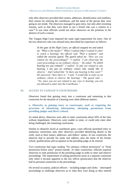only after observers provided their names, addresses, identification card numbers, their reason for entering the courthouse, and the name of the person they were going to see inside. The observers managed to gain entry, but only after inventing reasons, such as that they were there to see a friend who was a witness in a case.<sup>65</sup> It was clear officials would not allow observers on the premises in the absence of such a reason.

The Yangon High Court imposed the same rigid requirement for entry. One of the two observers who was refused entry described his experience as follows:

*At the gate of the High Court, an official stopped me and asked me "What is the matter?" When I replied [that I wanted to enter to watch a hearing], the official said "Wait a moment" and called the security guard. The guard asked me "How are you related [to the proceedings]?" I replied "I am observing the court proceedings as an ordinary citizen." He asked "To which hearing are you related?" I replied "[I am] not related to any hearing. I am just an ordinary citizen who would like to observe." And I asked him "Is there any hearing in this court?" He answered "Sure there is." I said "I would like to enter as an ordinary citizen to observe the hearings." The guard said … "No, since you are not related to any case or hearing, you are not allowed to enter into the Courthouse."* 

#### III. ACCESS TO YANGON'S COURTROOMS

Observers found that gaining entry into a courtroom and remaining in that courtroom for the duration of a hearing were often different matters.

**a. Obstacles to gaining entry to courtrooms, such as requiring the provision of identifying information, obtaining permission from presiding judges and direct refusal** 

As noted above, observers were able to enter courtrooms about 50% of the time without impediment. Observers were unable to enter, or could only enter after being challenged, the remaining courtrooms.

Similar to obstacles faced at courthouse gates, court officials permitted entry to numerous courtrooms only after observers provided identifying details to the clerk, such as their names, addresses, and fathers' names. In one courtroom, the observer had to provide his name and address, plus the name of his former school, qualifications and occupation to the presiding judge as he entered.

Two courtrooms had signs reading "No entrance without permission" or "Seek permission before entry" posted outside. At other courtrooms, officials required observers to seek permission of the presiding judge in order to enter and observe proceedings. The requirement of asking permission arose at a separate courtroom only when it became apparent to the law officer (prosecutor) that the observer had no personal connection to the proceedings.

On several occasions, judicial officers – including judges and clerks – interrupted proceedings to challenge observers as to what they were doing as they entered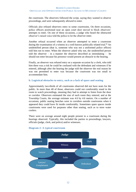the courtroom. The observers followed the script, saying they wanted to observe proceedings, and were subsequently allowed to enter.

Officials also refused observers entry to some courtrooms. On three occasions, police officers positioned near an open court door moved to block observers' attempts to enter. On one of these occasions, a judge who heard the obstructed observer's raised voice told the police to let the observer enter.

Another refusal occurred when an observer attempted to enter a courtroom during the examination of a witness in a well-known politically related trial.<sup>66</sup> An unidentified person (that is, someone who was not a uniformed police officer) told him not to enter. When the observer asked why not, the unidentified person told the observer – in a manner the observer described as intimidating – he should not enter because his presence would present an obstacle to the hearing.

Finally, an observer was refused entry on a separate occasion by a clerk, who told him there was a risk he could be confused with the defendant and witnesses if he entered, although after the hearing the judge told the observer the real reason he was not permitted to enter was because the courtroom was too small to accommodate him.

#### **b. Logistical obstacles to entry, such as a lack of space and seating**

Approximately two-thirds of all courtrooms observed did not have seats for the public. In more than 40 of those, observers could not comfortably stand in the room to watch proceedings, meaning they had to attempt to listen from the door or corridor. Observers estimated the size of each room they entered, and at the Township Courts, the average estimate was 4.6 by 4.6 metres. On a number of occasions, public seating benches were in corridors outside courtrooms when it appeared they could have fit inside comfortably. Sometimes spare spaces inside courtrooms were used for purposes other than seating, such as to store water coolers.

There were on average around eight people present in a courtroom during the hearings observed. Typically, this included the parties to proceedings, lawyers, officials (judge, clerk, and police) and/or witnesses.



#### **Diagram 2: A typical courtroom**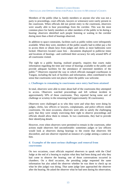Members of the public (that is, family members or anyone else who was not a party to proceedings, court officials, lawyers or witnesses) were rarely present in the courtroom. When officials did not permit entry to the courtroom, observers were usually able to hear proceedings from the corridor. This was the most common place for family members or other members of the public to be during a hearing: observers identified such people listening or waiting in the corridor during more than a third of hearings observed.

In addition to space constraints, facilities such as public toilets were infrequently available. When they were, members of the public usually had to either pay a fee to access them or obtain keys from judges and clerks as most bathrooms were locked. Observers located cause lists – documents displayed to publicise times and locations of hearings –and confirmed their accuracy for only around 60% of all courtrooms visited.

The right to a public hearing, realised properly, requires that courts make information regarding the time and venue of hearings available to the public and provide adequate facilities for the attendance of interested members of the public.<sup>67</sup> Observers reported the way in which officials managed courthouses in Yangon, including the lack of facilities and information, often contributed to the sense that courtrooms were not places where the public was welcome.

#### **c. Challenges to remaining in courtrooms once entry had been attained**

In total, observers were able to enter about half of the courtrooms they attempted to access. Observers watched proceedings and left without incident in approximately 50% of those courtrooms. They reported facing some sort of challenge or scrutiny in the remaining half (approximately 30 courtrooms).

Observers were challenged as to who they were and what they were doing by judges, clerks, law officers or lawyers, complainants, and police officers inside courtrooms. On most occasions, observers were able to satisfy the challenging party that they were simply exercising their right to observe proceedings and officials should allow them to remain. In two courtrooms, they had to provide their identifying details.

However, even when observers were permitted to remain in the courtroom, other actions made observers feel uncomfortable: sometimes judges or law officers would look at observers during hearings to the extent that observers felt discomfort, and one observer reported an instance of a judge aiming a camera at him.

#### **d. Examples of the most serious challenges and removal from courtrooms**

On two occasions, court officials required observers to speak with the Chief Judge at the end of a hearing to explain what they had been doing and why they had come to observe the hearing; one of those conversations occurred in chambers. On a third occasion, the presiding judge requested the same information but also asked the observer whether he was there to check up on what he (the judge) was doing. That same judge later approached the observer after the hearing. He asked the observer what he had seen during his observation,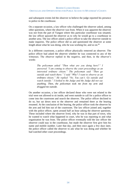and subsequent events led the observer to believe the judge reported his presence to police in the courthouse.

On a separate occasion, a law officer who challenged the observer asked, among other questions, where the observer was from. When it was apparent the observer was not from the part of Yangon where this particular courthouse was situated, the law officer quizzed the observer as to why he would go to a courthouse in another area. The law officer asked a police officer to take the observer outside to make inquiries. The police officer did so and questioned the observer at some length about what he was doing, who he was working for, and so on.<sup>68</sup>

In a different courtroom, a police officer physically removed an observer. The police officer had asked the observer whether he was connected to any of the witnesses. The observer replied in the negative, and then, in the observer's words:

*The policeman asked "Then what are you doing here?" I answered "I am coming to observe the court proceedings as an interested ordinary citizen." The policeman said "Then go outside and watch there." I said "Why? I want to observe as an ordinary citizen." He replied "No. You can't. Go outside and watch outside." I looked to the Judge and the Judge did not say anything. Then, the policeman took me from my arm and dragged me outside.* 

On another occasion, a law officer declared those who were not related to the trial were not allowed to sit inside, and went outside to call for a police officer to come into the courtroom and search the observer. The police officer declined to do so, but sat down next to the observer and remained there as the hearing resumed. At the conclusion of the hearing, the police officer took the observer by the arm and led him out of the courtroom. The law officer joined and, together with the police officer, spent around half an hour asking the observer questions. These included where the observer lived, why he was in that part of town, why he wanted to watch what happened in court, who he was reporting to and what organisation he was from. The police officer eventually told the law officer the observer could stay in the courthouse, but made the observer first give him his name and mobile number. Later that day, and then once again a few days later, the police officer called the observer to ask what he was doing and whether he had watched other court proceedings.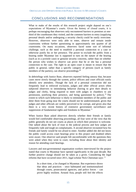### CONCLUSIONS AND RECOMMENDATIONS

What to make of the results of this research project might depend on one's expectations of Myanmar's courts. Given the history of closed courts, it is perhaps encouraging that observers only encountered barriers to premises at onethird of the courthouses they visited, and the common barriers to entry (supplying personal details and/or undergoing a security check) could be easily overcome. However, observers were only able to enter, observe and remain inside courtrooms without further questioning in approximately one quarter of all courtrooms. On many occasions, observers faced some sort of informal challenge, such as the need to establish a personal connection to a case or otherwise justify his or her presence. The power to exclude the public from a hearing under Myanmar law is supposed to turn on the nature of the hearing (such as in a juvenile case) or genuine security concerns, rather than on whether the person who wishes to observe can prove that he or she has a personal connection to the case. The right to an open court is meant to ensure that the public in general, rather than a specific category of persons (such as family members of the parties), can observe proceedings.<sup>69</sup>

In debriefings with Justice Base, observers reported feeling uneasy that, because cases move slowly through the system, police officers and court officials easily identify new attendees. Though the lack of a personal connection did not frequently lead to enforced exclusion, judges and other official actors often subjected observers to intimidating behavior (having to give their details to judges and clerks, being required to meet with judges in chambers to ask permission, justifying their presence, and being questioned by police). <sup>70</sup> The extent to which such behaviour is likely to intimidate members of the public and deter them from going near the courts should not be underestimated, given that judges and other officials are widely perceived to be corrupt, and given also that there is a very recent history of extensive government surveillance and suppression of fundamental rights and freedoms in Myanmar.<sup>71</sup>

When Justice Base asked observers directly whether their friends or family would feel comfortable observing proceedings, all four were of the view that the public generally do not see courts as places in which their presence is welcome. One talked about the lack of trust in the judicial process and how judges are frequently rude and tough on complainants. A second observer recounted how his friends and family would be too afraid to enter. Another added she did not know the public could access court hearings prior to this project and doubted others were aware. One observer said people felt uncomfortable with the questions they were asked when they went to court, including those about their identity and reason for attending court hearings.

Lawyers and non-governmental organisation workers interviewed for the project stated that courts in Myanmar have opened significantly in the past decade. But further positive change should not be taken as a given. Considering the legal reforms that have occurred since 2011, legal scholar Nick Cheesman says: <sup>72</sup>

In a short time, a lot changed in Myanmar. But experience shows that ideas and practices – once habituated and institutionalized through courts, prosecutorial agencies, and police forces – can prove highly resilient. Around Asia, people still feel the effects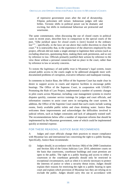of repressive government years after the end of dictatorship. Filipino policemen still torture. Indonesian judges still take bribes. Tectonic shifts in political power can be dramatic and exciting, but shifts in institutional behaviour are protracted and wearisome.

The same commentator, when discussing the use of closed courts in political cases in recent years, describes how in comparison to the special courts of the past, "[t]he juridical space for closed courts is [now] located in the ordinary law<sup>173</sup> – specifically, in the laws set out above that confer discretion to close the court.<sup>74</sup> It is noteworthy that, in the experience of the observers employed by this project, officials did not make a single attempt to legitimise their actions (such as excluding observers, questioning them, making them seek permission, and so on) by reference to law. Officials primarily justified their actions by reference to the view those without a personal connection had no place in the court, rather than by reference to law or security concerns.

To restore the legitimacy of and public trust in Myanmar's legal system, issues around public access to the courts ought to be addressed alongside more welldocumented problems of corruption, executive influence and inadequate training.

In comments to Justice Base, the Office of the Supreme Court has made clear its desire to support access to courts and improve facilities to encourage public hearings. The Office of the Supreme Court, in cooperation with USAID's Promoting the Rule of Law Project, implemented a number of systemic changes in pilot courts across Myanmar, including: case management systems to resolve disputes quickly, customer service trainings for judges and court officials, and information counters to assist court users in navigating the court system. In addition, the Office of the Supreme Court stated that such courts include waiting rooms, freely available public toilets and clean drinking water. Justice Base welcomes these improvements and acknowledges the difficulties involved in judicial reform, such as budget constraints and lack of adequately trained staff. The recommendations below offer a number of important reforms that should be implemented by the Myanmar government, some of which could be implemented quickly at minimal expense.

#### FOR THESE REASONS, JUSTICE BASE RECOMMENDS:

A Judges and court officials change their practices to ensure compliance with Myanmar law and international law concerning the right to a public hearing. Specifically, Justice Base recommends:

(i) Judges should, in accordance with Section 19(b) of the 2008 Constitution and Section 3(b) of the Union Judiciary Law 2010, administer courts on the basis that courtrooms, courthouse buildings and court premises are open to the public. The right to a public hearing and access to either a courtroom or the courthouse generally should only be restricted in exceptional circumstances, such as when it is strictly necessary to protect the interests of justice or when a security threat exists. Judges should explain their reasons for restricting the right to a public hearing in open court and explain which provision of Myanmar law they are relying on to exclude the public. Judges should carry this out in accordance with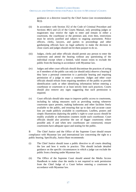guidance or a directive issued by the Chief Justice (see recommendation  $B(i)$ ).

- (ii) In accordance with Section 352 of the Code of Criminal Procedure and Sections 48(1) and (2) of the Courts Manual, only presiding judges or magistrates may restrict the right to enter and remain in either a courtroom, the courthouse or the premises and, even then, restrictions must be strictly justified and subject to ongoing assessment. Police officers, clerks, lawyers, and parties to proceedings and other gatekeeping officials have no legal authority to make the decision to close courts and judges should not let them purport to do so.
- (iii) Judges, clerks and other officials should permit any person to enter the courtroom and attend the hearing without any questioning of the individual except where a limited, valid reason exists to exclude the public from the hearing in accordance with Myanmar law.
- (iv) Judges and other court officials should discontinue the practices of acting as if members of the public can only (or should only) observe a hearing if they have a personal connection to a particular hearing and requiring permission of a judge to enter a courtroom. Judges and other court officials should refrain from requiring members of the public to provide identification cards or other identifying information before entering a courthouse or courtroom or at least strictly limit such practices. Courts should also remove any signs suggesting that such permission is required.
- (v) Court officials should take steps to improve public access to courtrooms, including by taking measures such as providing seating whenever courtroom space permits, making bathrooms and other facilities freely available to the public, and ensuring that up to date and accurate cause lists are made publicly available in courthouses. Leaflets, posters and simple illustrations depicting the public's right to court access should be readily available at information counters inside each courthouse. Court officials should also prioritise the use of bigger courtrooms where possible and, if and when new courthouses are constructed, ensure courtrooms have adequate space and seating for the public.

B The Chief Justice and the Office of the Supreme Court should ensure compliance with Myanmar law and international law concerning the right to a public hearing. Specifically, Justice Base recommends:

- (i) The Chief Justice should issue a public directive to all courts detailing the law and how it works in practice. This should include detailed guidance on the specific circumstances in which a judge can exclude the public from a hearing under Myanmar law.
- (ii) The Office of the Supreme Court should amend the Media Access Handbook to make clear the media is not required to seek permission from the Chief Judge of a Court before entering a courtroom in accordance with Myanmar law.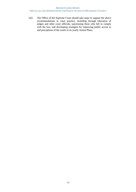(iii) The Office of the Supreme Court should take steps to support the above recommendations in court practice, including through education of judges and other court officials, sanctioning those who fail to comply with the law, and developing strategies for improving public access to and perceptions of the courts in its yearly Action Plans.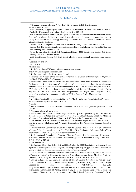#### REFERENCES

<sup>1</sup> "Myanmar's General Election: A New Era" (12 November 2015), The Economist <www.economist.com>.

<sup>4</sup> Constitution of the Republic of the Union of Myanmar (2008) ("2008 Constitution"), ch VI.

<sup>5</sup> Section 316. The Constitution also creates the possibility of courts lower than Township Courts as "constituted by law." Section 293(a).

<sup>6</sup> As do the equivalent Courts of Self-Administered Zones: 2008 Constitution, Section 315; Union Judiciary Law 2010, Sections 53–55.

<sup>7</sup> 2008 Constitution, Section 314. High Courts also have some original jurisdiction: *see* Section 306.

<sup>8</sup> Sections 294 and 295.

<sup>9</sup> Section 319.

<sup>10</sup>Section 322.

 $\overline{a}$ 

<sup>11</sup> *See* Judiciary Law (2010) and Union Supreme Court website:

http://www.unionsupremecourt.gov.mm/

<sup>12</sup> *See* for instance ch 1, Sections 11(a) and 19(a).

<sup>13</sup> Yanghee Lee, "Report of the Special Rapporteur on the situation of human rights in Myanmar" (18 March 2016) A/HRC/31/71 at para 15.

<sup>14</sup> International Commission of Jurists, "Re: Implementable Action Plans from the ICJ to the new Parliament & Government" (3 May 2016) <https://www.icj.org/wpcontent/uploads/2016/06/Myanmar-Recommendation-to NLD-Gvt-Advocacy-Analysis-Brief-2016- ENG.pdf> at 5-6. *See also* International Commission of Jurists, "Myanmar: Country Profile prepared by the ICJ Centre for the Independence of Judges and Lawyers" (2014) <https://www.icj.org/wp-content/uploads/2014/06/CIJL-Country-Profile-Myanmar-June-2014.pdf>.

<sup>15</sup> Myint Zan, "Judicial Independence in Burma: No March Backwards Towards the Past," 1 Asian-Pacific Law & Policy Journal 5 (2000), at 13.

<sup>16</sup> *Id*. at 25.

<sup>17</sup> Nick Cheesman "Thin Rule of Law or Un-Rule of Law in Myanmar?" (2010) 82(4) Pacific Affairs 597 at 612.

<sup>18</sup> Cheesman, above n 2, at 161–162.

<sup>19</sup> International Commission of Jurists "Myanmar: Country Profile prepared by the ICJ Centre for the Independence of Judges and Lawyers," above n 14, at 11. *See also* Khaing Sape Saw, "Tackling Myanmar's Corruption Challenge" (April 2015) 13 Focus Asia: Perspectives and Analysis 1.

<sup>20</sup> Lee, above n 13, at 15; International Bar Association's Human Rights Initiative, "The Rule of

Law in Myanmar: Challenges and Prospects" (International Bar Association, London, December 2012).

<sup>21</sup> *See* International Commission of Jurists, "Right to Counsel: The Independence of Lawyers in Myanmar" (2013) <www.icj.org> at 31; DLA Piper New Perimeter, "Myanmar Rule of Law Assessment" (March 2013), <www.newperimeter.com> at 36.

<sup>22</sup> *See* International Commission of Jurists, "Right to Counsel: The Independence of Lawyers in Myanmar," above n 21; Melissa Crouch "Rediscovering 'Law' in Myanmar" (2014) 23 Pac Rim L & Pol'y J 543 at 545-46.

 $23$  Lee, above n 13.

<sup>24</sup> *See* Sections 301(d) (iv), 310(d) (iii), and 333(d)(iv) of the 2008 Constitution, which provide that a person without experience as a judge or practicing lawyer may be appointed to the bench of the higher courts if the President considers them to be an "eminent jurist."

<sup>25</sup> The distinction between substantive law reform and advocacy for formal legality in the context of "cause lawyering" in Myanmar is drawn in Nick Cheesman and Kyaw Min San, "Not Just Defending: Advocating for Law in Myanmar" (2014) 31 Wis. Int'l L J 702 at 704–705.

<sup>26</sup> *See* for instance, the All Burma Federation of Student Unions' boycott of the "failed" court system: "Students to boycott failed judicial system" (15 March 2016), Asian Human Rights Commission Press Release AHRC-STM 033-2016 <http://www.ahrchk.org/ruleoflawasia.net/news.php?id=AHRC-STM-033-2016>. *See also* International Commission of Jurists, above n 20, at 14-15; Justice Base, "Voices from the Intersection: Women's Access to Justice in the Plural Legal System of Myanmar" (2016)

<sup>2</sup> Nick Cheesman, "Opposing the Rule of Law: How Myanmar's Courts Make Law and Order" (Cambridge University Press, United Kingdom, 2015) at 117-118.

<sup>&</sup>lt;sup>3</sup> While this data derived from observers' questionnaires and subsequent conversations with Justice Base staff to validate findings, it is possible that observers understated such obstacles, either by failing to adhere to the methodology and using a variety of reasons to enter the premises or by not attempting to enter due to fear.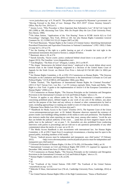<www.justicebase.org> at 9, 54 and 81. This problem is recognised by Myanmar's government: *see* "Moving Forward to the Rule of Law: Strategic Plan 2015–2019" (Union Attorney General's Office, Nay Pyi Taw, 2015) at 11.

<sup>27</sup> Jeremy Lever, "Why Procedure is More Important than Substantive Law" 48 Int'l & Comp LQ 285 (1999) at 300, discussing Tom Tyler, *Who Do People Obey the Law* (Yale University Press, New Haven, 1990).

<sup>28</sup> Ola Johan Settem, "Applications of the 'Fair Hearing' Norm in ECHR Article 6(1) to Civil Proceedings," (Springer, New York, 2016) at 120. *See also* Human Rights Committee *General Comment No. 32*, CCPR/C/GC/32 (23 August 2007) at [28].

<sup>29</sup> M Cherif Bassiouni, "Human Rights in the Context of Criminal Justice: Identifying International Procedural Protections and Equivalent Protections in National Constitutions" (1992–1993) 3 Duke J Comp Int'l L 235 at 274.

<sup>30</sup> *See* the framing of the right to a public hearing as part of a broader fair trial right in the international instruments discussed in Section 2, subpart III below.

 $31$  Bassiouni, above n 29, at 274.

1

<sup>32</sup> Sarosh Zaiwalla, "Secret courts: justice conducted behind closed doors is no justice at all" (19 August 2013), The Guardian <www.theguardian.com>.

<sup>33</sup> Tom Bingham, "The Rule of Law" (Penguin, London, 2011) at 96-97.

<sup>34</sup> The slogan "democracies die behind closed doors," employed in the recent debate about secret terrorist trials in the United Kingdom, originated in a decision of the United States Court of Appeals for the Sixth Circuit: *see Detroit Free Press v Ashcroft* 03 F3d 681 (6th Cir 2002) per Keith J.

<sup>35</sup> *See* Human Rights Committee, n 28, at [29]; UN Commission on Human Rights, "The Siracusa Principles on the Limitation and Derogation Provisions in the International Covenant on Civil and Political Rights," E/CN.4/1985/4, (28 September 1984), para 38(a).

<sup>36</sup> Stefan Trechsel, "The Significance of International Human Rights for Criminal Procedure" (2011) 6 Nat'l Taiwan Univ. Law Rev. 1 at 191 (witness reprisal); Mole, Nuala and Harby, "The Right to a Fair Trial: A guide to the implementation of Article 6 of the European Convention on Human Rights" (2006) at 22.

<sup>37</sup> UN Commission on Human Rights, "The Siracusa Principles on the Limitation and Derogation Provisions in the International Covenant on Civil and Political Rights," above n 35.

<sup>38</sup> Section 14 applies to any offence under the Act. The Act criminalizes a number of actions concerning prohibited places, defined largely as any work of any arm of the military, any place used for the purpose of the State and any railway or channel or other communication by land or water, including approaching it or making any model or note of it that may be useful to an enemy. <sup>39</sup> Myanmar News Media Law 2014, Sections 4(a) and 5.

<sup>40</sup> "Handbook for Media Access to the Courts" (October 2015), The Supreme Court of the Union <www.unionsupremecourt.gov.mm> at 20. Indeed, Myanmar observers reported the existence of posters inside court buildings telling members of the media to seek such permission. The Handbook also instructs media that when reporting on cases they must, among other matters, "avoid the acts that can belittle the judicial authority of the court; … [and] that can have negative impact on the public trust in the judiciary": *see* at para 7, 16. Journalists are also prohibited from conducting interviews with parties to proceedings and are told not to ask questions (presumably of any other commentator) about the merits of a case: *see* at 20–21.

<sup>41</sup> The Media Access Handbook is also inconsistent with international law. *See* Human Rights Committee, n 28, at [29] ("Apart from [] exceptional circumstances, a hearing must be open to the general public, including members of the media. . .").

<sup>42</sup> Eleven, "Judicial process must be independent and transparent, says chief justice" (9 February 2015)  $\langle$ http://www.elevenmyanmar.com/local/judicial-process-must-be-independent-andtransparent-says-chief-justice>

<sup>43</sup> Universal Declaration of Human Rights, GA Res 217A (III), (10 December 1948,), art 10.

<sup>44</sup> International Covenant on Civil and Political Rights 999 UNTS 171 (opened for signature 16 December 1966, entered into force 23 March 1976), art 14.

<sup>45</sup> UN Commission on Human Rights, "The Siracusa Principles on the Limitation and Derogation Provisions in the International Covenant on Civil and Political Rights," above n 35.

<sup>46</sup> Human Rights Committee, above n 28, at [29].

<sup>47</sup> *Id*. <sup>48</sup> *Id.*

<sup>49</sup> *See* "Yearbook of the United Nations 1948–1949" The Yearbook of the United Nations <unyearbook.un.org> at 535.

<sup>50</sup> Malcolm N Shaw, *International Law* (7th ed., Cambridge University Press, Cambridge, 2014) at 279.

<sup>51</sup> *See* United Nations Human Rights Office of the High Commissioner, "Status of Ratification"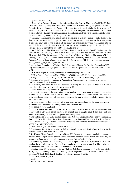<http://indicators.ohchr.org/>.

1

<sup>53</sup> "Customary international law results from a general and consistent practice of states followed by them from a sense of legal obligation. International agreements create law for the states parties thereto and may lead to the creation of customary international law when such agreements are intended for adherence by states generally and are in fact widely accepted." Restat. 3d of the Foreign Relations Law of the U.S. (1987) at § 102(2) and (3).

<sup>54</sup> Patrick Robinson, "The Right to a Fair Trial in International Law, with Specific Reference to the Work of the ICTY" (2009) 3 Berk J Intl L Publicist 1, at 5. *See also* Yvonne McDermott, "The Right to a Fair Trial in International Criminal Law" (PhD thesis, National University of Ireland Galway, July 2013) at 17; and in a related context, *see* "Customary International Humanitarian Law Database," International Committee of the Red Cross <https://ihl-databases.icrc.org/customaryihl/eng/docs/v1\_rul\_rule100>, at Rule 100.

<sup>55</sup> International Commission of Jurists, "Trial Observation Manual for Criminal Proceedings" (22 July 2009) <https://www.icj.org/criminal-trials-and-human-rights-a-manual-on-trial-observation/> at 84.

<sup>56</sup> UK Human Rights Act 1998, Schedule I, Article 6(1) (emphasis added).

<sup>57</sup> *Philis v. Greece*, Application No. 12750/87; 13780/88; [14003/88](http://hudoc.echr.coe.int/eng#%7B%22appno%22:%5B%2214003/88%22%5D%7D) (27 August 1991), at §59.

<sup>58</sup> *Ashingdane v. the United Kingdom*, Application No[. 8225/78](http://hudoc.echr.coe.int/eng#%7B%22appno%22:%5B%228225/78%22%5D%7D) (28 May 1985)*,* at §57.

<sup>59</sup> The code of conduct is reproduced in Appendix A. Names have been removed to protect the confidentiality of all participants.

<sup>60</sup> In practice, observers did not feel comfortable taking this final step as they felt it would exacerbate difficulties with officials: *see* below at n 68.

<sup>61</sup> The questionnaire is reproduced in Appendix B.

 $62$  In the last three days of the observation period another change was made to enable the collection of more data about courthouse access: on these days, observers would observe one courtroom at a given courthouse (rather than all courtrooms between the pair of observers) before moving to the next courthouse.

<sup>63</sup> On some occasions both members of a pair observed proceedings in the same courtroom at different times, so the number of unique courtrooms may be less.

<sup>64</sup> *See* above at Section 3, Part I.

<sup>65</sup> This was a breach of protocol on the part of the observers. Justice Base had instructed observers to respond honestly when asked questions by officials and to simply leave if they could not gain entrance as ordinary citizens with no special interest in proceedings.

<sup>66</sup> The trial related to the 2015 machete attack on a National League for Democracy politician: *see* Antoni Slodkowski and Soe Zeya Tun, "Myanmar opposition candidate attacked with machetes," (29 October 2015), Reuters <http://www.reuters.com/article/us-myanmar-election-violenceidUSKCN0SN2GU2015102>

<sup>67</sup> *See* Human Rights Committee, above n 28, at [28].

<sup>68</sup> The observer in this instance failed to follow protocol and provide Justice Base's details for the reasons discussed above at Section 3, Part I.

<sup>69</sup> *See* Human Rights Committee, above n 28, at [29] ("Apart from ... exceptional circumstances, a hearing must be open to the general public, including members of the media, *and must not, for instance, be limited to a particular category of persons*") (emphasis added).

 $70$  In a summary debrief to Justice Base, one observer reported that at times, his level of discomfort resulted in his calling Justice Base staff to explain his unease and resulted in his moving to a different courthouse or courtroom sooner than otherwise planned.

<sup>71</sup> Christina Fink, *Living Silence in Burma* (2nd ed, Zed Books, London, 2009) at 134, as cited in Fortify Rights, "Midnight Intrusion: Ending Guest Registration and Household Inspections in Myanmar" (March 2015) Fortify Rights <www.fortifyrights.org> at 12.

<sup>72</sup> Cheesman, above n 2, at 101.

<sup>73</sup> *Id*. at 117.

<sup>74</sup> *See* Section 2, Part I above.

<sup>52</sup> "Report of the Working Group on the Universal Periodic Review: Myanmar," A/HRC/31/13 (23 December 015) at [143.4], reaffirming the commitment expressed during the previous Universal Periodic Review: "Report of the Working Group on the Universal Periodic Review: Myanmar," A/HRC/17/9 (24 March 2011) at [104.6]. Myanmar also accepted a recommendation to consider judicial reforms – though the recommendation did not specifically relate to public access to courts: *see* A/HRC/31/13 (23 December 2015) at [143.48].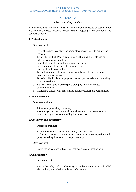#### APPENDIX A

#### *Observer Code of Conduct*

This document sets out the basic standards of conduct expected of observers for Justice Base's Access to Courts Project (herein "Project") for the duration of the contractual period.

#### **1. Professionalism**

Observers shall:

- o Treat all Justice Base staff, including other observers, with dignity and respect.
- o Be familiar with all Project guidelines and training materials and be diligent with responsibilities.
- o Attend all Project-related trainings and meetings.
- o Arrive promptly to all Project-related events.
- o Strictly obey the court rules.
- o Pay full attention to the proceedings and take detailed and complete notes during observation.
- o Dress in a dignified and appropriate manner, particularly when attending court proceedings.
- o Be available by phone and respond promptly to Project-related communications.
- o Coordinate closely with the assigned partner observer and Justice Base.

#### **2. Nonintervention**

Observers shall **not**:

- o Influence a proceeding in any way.
- o Ask a lawyer or other court official their opinion on a case or advise them with regard to a course of legal action to take.

#### **3. Objectivity and impartiality**

Observers shall **not**:

- o At any time express bias in favor of any party to a case.
- o Make any statement to court officials, parties to a case or any other third party, including the media, on the proceedings.

Observers shall:

o Avoid the appearance of bias; this includes choice of seating area.

#### **4. Confidentiality**

Observers shall:

o Ensure the safety and confidentiality of hand-written notes, data handled electronically and of other collected information.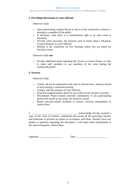#### **5. Providing information to court officials**

Observers shall:

- o Upon questioning, explain that he or she is in the courtroom to observe a hearing as a member of the public.
- o If necessary, state there is a constitutional right to an open court in Myanmar.
- o Provide, when necessary, the business card of Justice Base's Myanmar Country Director to court officials.
- o Remain in the courtroom for two hearings unless you are asked (or forced) to leave.

Observers shall **not**:

o Provide additional detail regarding the Access to Courts Project or refer to other staff members to any members of the court during the contractual period.

#### **6. Security**

Observers shall:

- o Calmly ask for an explanation only once if refused entry, asked or forced to leave during a courtroom hearing.
- o Comply with the requests of court officials.
- o Keep the assigned partner observer up-to-date on any security concerns.
- o Discontinue Project-related activities immediately if any participating parties feel unsafe at any point, for whatever reason.
- o Report security-related incidents or serious concerns immediately to Justice Base.

I, \_\_\_\_\_\_\_\_\_\_\_\_\_\_\_\_\_\_\_\_\_\_\_\_\_\_\_\_\_\_\_\_\_\_\_\_\_ acknowledge having received a copy of the Code of Conduct, understand and accept all the provisions thereof, and undertake to perform my duties in accordance with them. Should I have any doubts or questions regarding this document, I will report them immediately to the supervising party, Justice Base.

Signature \_\_\_\_\_\_\_\_\_\_\_\_\_\_\_\_\_\_\_ Date \_\_\_\_\_\_\_\_\_\_\_\_\_\_\_\_\_\_\_\_\_\_\_\_\_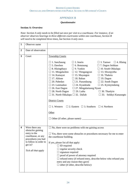#### APPENDIX B

#### *Questionnaire*

#### **Section A: Overview**

*Note: Section A only needs to be filled out once per visit to a courthouse. For instance, if an observer observes hearings in three different courtrooms within one courthouse, Section B will need to be completed three times, but Section A only once.*

| $\mathbf{1}$            | Observer name                                                                                                                                              |                                                                                                                                                                                                                                                                                                                                                                                                                                                                                                                                                                                                                                                                                                                                                                                                                                                                                                                                                               |
|-------------------------|------------------------------------------------------------------------------------------------------------------------------------------------------------|---------------------------------------------------------------------------------------------------------------------------------------------------------------------------------------------------------------------------------------------------------------------------------------------------------------------------------------------------------------------------------------------------------------------------------------------------------------------------------------------------------------------------------------------------------------------------------------------------------------------------------------------------------------------------------------------------------------------------------------------------------------------------------------------------------------------------------------------------------------------------------------------------------------------------------------------------------------|
| $\boldsymbol{2}$        | Date of observation                                                                                                                                        |                                                                                                                                                                                                                                                                                                                                                                                                                                                                                                                                                                                                                                                                                                                                                                                                                                                                                                                                                               |
| 3                       | Court                                                                                                                                                      | <b>Township Courts</b><br>$\Box$ 1. Sanchaung<br>$\Box$ 2. Insein<br>$\Box$ 4. Hlaing<br>$\Box$ 3. Tamwe<br>$\Box$ 5. Dawbon<br>$\Box$ 6. Botataung<br>$\Box$ 7. Dagon Seikkan<br>$\Box$ 9. Yankin<br>$\square$ 10. South Okkalapa<br>$\Box$ 8. Hlaingthaya<br>$\Box$ 11. Mingalardon<br>$\Box$ 12. Thingangyun<br>$\Box$ 13. Shwepyitha<br>$\Box$ 14. Kamayut<br>$\Box$ 15. Mayangon<br>$\Box$ 16. Thaketa<br>$\Box$ 17. Ahlone<br>$\Box$ 18. Bahan<br>$\Box$ 19. Dagon<br>$\Box$ 22. South Dagon<br>$\Box$ 20. Pabedan<br>$\Box$ 21. Pazundaung<br>$\Box$ 24. Kyauktada<br>$\square$ 25. Kyimyindaing<br>$\Box$ 23. Lanmadaw<br>$\Box$ 27. Mingalartaung Nyunt<br>$\Box$ 26. East Dagon<br>$\Box$ 28. North Dagon<br>$\Box$ 29. Latha<br>$\Box$ 30. Thanlyin<br>$\Box$ 31. North Okkalapa $\Box$ 32. Dallah<br>$\Box$ 33. Seikkyi Kanaungto<br><b>District Courts</b><br>$\Box$ 1. Western $\Box$ 2. Eastern $\Box$ 3. Southern $\Box$ 4. Northern<br>Other |
| $\overline{\mathbf{4}}$ | Were there any<br>obstacles gaining<br>entry to the<br>courthouse, or any<br>procedures you had<br>to follow in order to<br>get in?<br>Tick all that apply | $\square$ No, there were no problems with me gaining access<br>$\Box$ Yes, there were some obstacles or procedures necessary for me to enter<br>the courthouse building.<br>If yes, please list all that apply:<br>$\Box$ ID required<br>$\Box$ regular security check<br>$\Box$ signature required<br>$\Box$ proof of power of attorney required<br>$\Box$ refused entry (if refused entry, describe below who refused you<br>entry and any reason they gave)<br>$\Box$ other (if other, describe below):                                                                                                                                                                                                                                                                                                                                                                                                                                                    |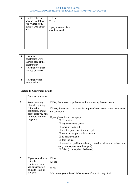| 5 | Did the police or<br>anyone else follow<br>you / watch you /<br>interact with you at<br>all? | $\Box$ Yes<br>$\Box$ No<br>If yes, please explain<br>what happened. |
|---|----------------------------------------------------------------------------------------------|---------------------------------------------------------------------|
|   |                                                                                              |                                                                     |

| 6 | How many              |  |
|---|-----------------------|--|
|   | courtrooms were       |  |
|   | there in total at the |  |
|   | courthouse?           |  |
| 7 | How many of these     |  |
|   | did you observe?      |  |
|   |                       |  |
|   |                       |  |
| 8 | How many were         |  |
|   | locked / shut?        |  |

#### **Section B: Courtroom details**

| $\mathbf{1}$   | Courtroom number                                                                                                                   |                                                                                                                                                                                                                                                                                                                                                                                                                                                                                                                                                            |  |
|----------------|------------------------------------------------------------------------------------------------------------------------------------|------------------------------------------------------------------------------------------------------------------------------------------------------------------------------------------------------------------------------------------------------------------------------------------------------------------------------------------------------------------------------------------------------------------------------------------------------------------------------------------------------------------------------------------------------------|--|
| $\overline{2}$ | Were there any<br>obstacles gaining<br>entry to the<br>courtroom, or any<br>procedures you had<br>to follow in order<br>to get in? | $\Box$ No, there were no problems with me entering the courtroom<br>$\Box$ Yes, there were some obstacles or procedures necessary for me to enter<br>the courtroom<br>If yes, please list all that apply:<br>ID required<br>regular security check<br>signature required<br>$\Box$ proof of power of attorney required<br>too many people inside courtroom<br>no seats available<br>door locked<br>$\Box$ refused entry (if refused entry, describe below who refused you<br>entry, and any reasons they gave)<br>$\Box$ Other (if other, describe below): |  |
| 3              | If you were able to<br>enter the<br>courtroom, were<br>you subsequently<br>asked to leave at<br>any point?                         | $\Box$ No<br>$\Box$ Yes<br>If yes:<br>Who asked you to leave? What reason, if any, did they give?                                                                                                                                                                                                                                                                                                                                                                                                                                                          |  |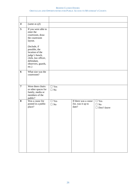| $\overline{\mathbf{4}}$ | (same as q3)                                                                                                                           |                         |                                                     |                                              |
|-------------------------|----------------------------------------------------------------------------------------------------------------------------------------|-------------------------|-----------------------------------------------------|----------------------------------------------|
| 5                       | If you were able to<br>enter the<br>courtroom, draw<br>the courtroom<br>layout.                                                        |                         |                                                     |                                              |
|                         | (Include, if<br>possible, the<br>location of the<br>judge's bench,<br>clerk, law officer,<br>defendant,<br>observers, guards,<br>etc.) |                         |                                                     |                                              |
| 6                       | What size was the<br>courtroom?                                                                                                        |                         |                                                     |                                              |
| $\overline{7}$          | Were there chairs<br>or other spaces for<br>family, media or<br>members of the<br>public?                                              | $\Box$ Yes<br>$\Box$ No |                                                     |                                              |
| 8                       | Was a cause list<br>posted in a public<br>place?                                                                                       | $\Box$ Yes<br>$\Box$ No | If there was a cause<br>list, was it up to<br>date? | $\Box$ Yes<br>$\Box$ No<br>$\Box$ Don't know |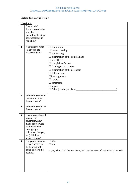# **Section C: Hearing Details**

|                         | <b>Hearing 1:</b>                                                                                                                                                        |                                                                                                                                                                                                                                                                                                                                                                               |
|-------------------------|--------------------------------------------------------------------------------------------------------------------------------------------------------------------------|-------------------------------------------------------------------------------------------------------------------------------------------------------------------------------------------------------------------------------------------------------------------------------------------------------------------------------------------------------------------------------|
| $\mathbf{1}$            | Give a brief<br>description of what<br>you observed<br>(including the stage<br>of proceedings if<br>you know)                                                            |                                                                                                                                                                                                                                                                                                                                                                               |
| $\boldsymbol{2}$        | If you know, what<br>stage were the<br>proceedings in?                                                                                                                   | don't know<br>$\overline{\phantom{0}}$<br>$\Box$ remand hearing<br>$\Box$ bail hearing<br>$\Box$ examination of the complainant<br>$\Box$ law officer<br>$\Box$ complainant's case<br>$\Box$ framing of the charges<br>$\Box$ examination of the defendant<br>defense case<br>$\overline{1}$<br>$\Box$ final argument<br>$\Box$ verdict<br>$\Box$ sentencing<br>$\Box$ appeal |
| 3                       | When did you enter<br>/ attempt to enter<br>the courtroom?                                                                                                               |                                                                                                                                                                                                                                                                                                                                                                               |
| $\overline{\mathbf{4}}$ | When did you leave<br>the courtroom?                                                                                                                                     |                                                                                                                                                                                                                                                                                                                                                                               |
| 5                       | If you were allowed<br>to enter the<br>courtroom, how<br>many people were<br>inside and what<br>roles (judge,<br>policeman, lawyer,<br>etc.) did they<br>appear to have? |                                                                                                                                                                                                                                                                                                                                                                               |
| 6                       | Did you see anyone<br>refused access to<br>the hearing or be<br>asked to leave the<br>hearing?                                                                           | $\Box$ Yes<br>$\Box$ No<br>If yes, who asked them to leave, and what reasons, if any, were provided?                                                                                                                                                                                                                                                                          |